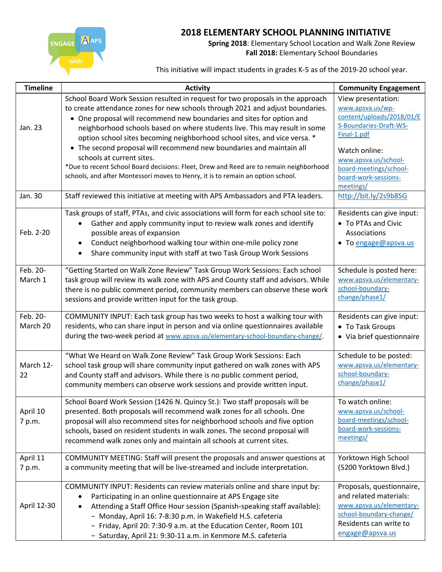ENGAGE A APS

## **2018 ELEMENTARY SCHOOL PLANNING INITIATIVE**

**Spring 2018**: Elementary School Location and Walk Zone Review **Fall 2018:** Elementary School Boundaries

This initiative will impact students in grades K-5 as of the 2019-20 school year.

| <b>Timeline</b>      | <b>Activity</b>                                                                                                                                                                                                                                                                                                                                                                                                                                                                                                                                                                                                                                                                         | <b>Community Engagement</b>                                                                                                                                                                             |
|----------------------|-----------------------------------------------------------------------------------------------------------------------------------------------------------------------------------------------------------------------------------------------------------------------------------------------------------------------------------------------------------------------------------------------------------------------------------------------------------------------------------------------------------------------------------------------------------------------------------------------------------------------------------------------------------------------------------------|---------------------------------------------------------------------------------------------------------------------------------------------------------------------------------------------------------|
| Jan. 23              | School Board Work Session resulted in request for two proposals in the approach<br>to create attendance zones for new schools through 2021 and adjust boundaries.<br>• One proposal will recommend new boundaries and sites for option and<br>neighborhood schools based on where students live. This may result in some<br>option school sites becoming neighborhood school sites, and vice versa. *<br>• The second proposal will recommend new boundaries and maintain all<br>schools at current sites.<br>*Due to recent School Board decisions: Fleet, Drew and Reed are to remain neighborhood<br>schools, and after Montessori moves to Henry, it is to remain an option school. | View presentation:<br>www.apsva.us/wp-<br>content/uploads/2018/01/E<br>S-Boundaries-Draft-WS-<br>Final-1.pdf<br>Watch online:<br>www.apsva.us/school-<br>board-meetings/school-<br>board-work-sessions- |
| Jan. 30              | Staff reviewed this initiative at meeting with APS Ambassadors and PTA leaders.                                                                                                                                                                                                                                                                                                                                                                                                                                                                                                                                                                                                         | meetings/<br>http://bit.ly/2s9b8SG                                                                                                                                                                      |
| Feb. 2-20            | Task groups of staff, PTAs, and civic associations will form for each school site to:<br>Gather and apply community input to review walk zones and identify<br>possible areas of expansion<br>Conduct neighborhood walking tour within one-mile policy zone<br>Share community input with staff at two Task Group Work Sessions                                                                                                                                                                                                                                                                                                                                                         | Residents can give input:<br>• To PTAs and Civic<br>Associations<br>• To engage@apsva.us                                                                                                                |
| Feb. 20-<br>March 1  | "Getting Started on Walk Zone Review" Task Group Work Sessions: Each school<br>task group will review its walk zone with APS and County staff and advisors. While<br>there is no public comment period, community members can observe these work<br>sessions and provide written input for the task group.                                                                                                                                                                                                                                                                                                                                                                              | Schedule is posted here:<br>www.apsva.us/elementary-<br>school-boundary-<br>change/phase1/                                                                                                              |
| Feb. 20-<br>March 20 | COMMUNITY INPUT: Each task group has two weeks to host a walking tour with<br>residents, who can share input in person and via online questionnaires available<br>during the two-week period at www.apsva.us/elementary-school-boundary-change/.                                                                                                                                                                                                                                                                                                                                                                                                                                        | Residents can give input:<br>• To Task Groups<br>• Via brief questionnaire                                                                                                                              |
| March 12-<br>22      | "What We Heard on Walk Zone Review" Task Group Work Sessions: Each<br>school task group will share community input gathered on walk zones with APS<br>and County staff and advisors. While there is no public comment period,<br>community members can observe work sessions and provide written input.                                                                                                                                                                                                                                                                                                                                                                                 | Schedule to be posted:<br>www.apsva.us/elementary-<br>school-boundary-<br>change/phase1/                                                                                                                |
| April 10<br>7 p.m.   | School Board Work Session (1426 N. Quincy St.): Two staff proposals will be<br>presented. Both proposals will recommend walk zones for all schools. One<br>proposal will also recommend sites for neighborhood schools and five option<br>schools, based on resident students in walk zones. The second proposal will<br>recommend walk zones only and maintain all schools at current sites.                                                                                                                                                                                                                                                                                           | To watch online:<br>www.apsva.us/school-<br>board-meetings/school-<br>board-work-sessions-<br>meetings/                                                                                                 |
| April 11<br>7 p.m.   | COMMUNITY MEETING: Staff will present the proposals and answer questions at<br>a community meeting that will be live-streamed and include interpretation.                                                                                                                                                                                                                                                                                                                                                                                                                                                                                                                               | Yorktown High School<br>(5200 Yorktown Blvd.)                                                                                                                                                           |
| April 12-30          | COMMUNITY INPUT: Residents can review materials online and share input by:<br>Participating in an online questionnaire at APS Engage site<br>Attending a Staff Office Hour session (Spanish-speaking staff available):<br>$\bullet$<br>- Monday, April 16: 7-8:30 p.m. in Wakefield H.S. cafeteria<br>- Friday, April 20: 7:30-9 a.m. at the Education Center, Room 101<br>- Saturday, April 21: 9:30-11 a.m. in Kenmore M.S. cafeteria                                                                                                                                                                                                                                                 | Proposals, questionnaire,<br>and related materials:<br>www.apsva.us/elementary-<br>school-boundary-change/<br>Residents can write to<br>engage@apsva.us                                                 |